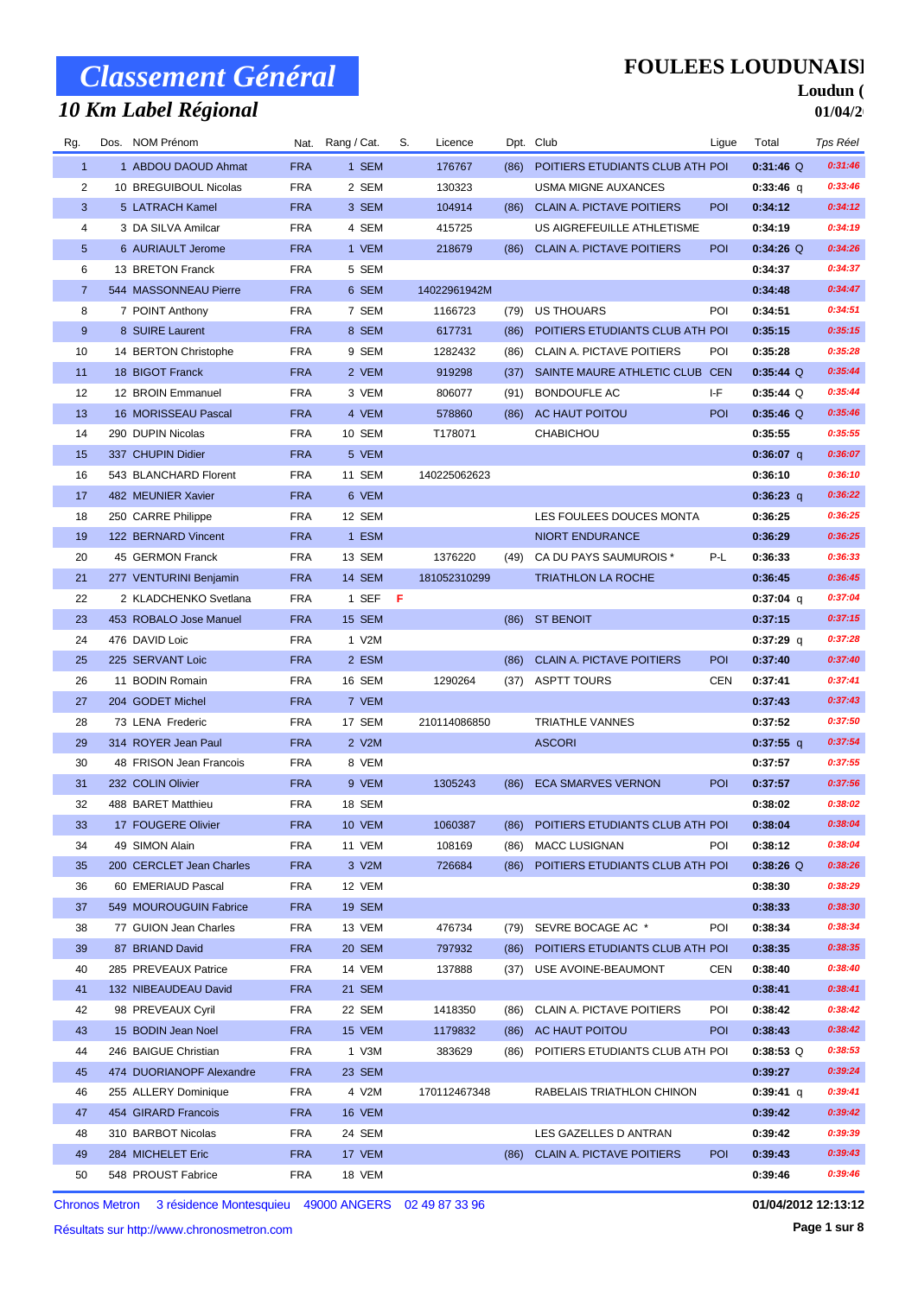## *10 Km Label Régional*

### **FOULEES LOUDUNAISE**

#### Loudun ( **01/04/2**

| Rg.            | Dos. NOM Prénom          |            | Nat. Rang / Cat. | S.  | Licence      |      | Dpt. Club                        | Ligue      | Total       | Tps Réel |
|----------------|--------------------------|------------|------------------|-----|--------------|------|----------------------------------|------------|-------------|----------|
| $\mathbf{1}$   | 1 ABDOU DAOUD Ahmat      | <b>FRA</b> | 1 SEM            |     | 176767       | (86) | POITIERS ETUDIANTS CLUB ATH POI  |            | $0:31:46$ Q | 0:31:46  |
| 2              | 10 BREGUIBOUL Nicolas    | <b>FRA</b> | 2 SEM            |     | 130323       |      | <b>USMA MIGNE AUXANCES</b>       |            | $0:33:46$ q | 0:33:46  |
| 3              | 5 LATRACH Kamel          | <b>FRA</b> | 3 SEM            |     | 104914       | (86) | <b>CLAIN A. PICTAVE POITIERS</b> | POI        | 0:34:12     | 0:34:12  |
| 4              | 3 DA SILVA Amilcar       | <b>FRA</b> | 4 SEM            |     | 415725       |      | US AIGREFEUILLE ATHLETISME       |            | 0:34:19     | 0:34:19  |
| 5              | 6 AURIAULT Jerome        | <b>FRA</b> | 1 VEM            |     | 218679       | (86) | <b>CLAIN A. PICTAVE POITIERS</b> | <b>POI</b> | $0:34:26$ Q | 0:34:26  |
| 6              | 13 BRETON Franck         | <b>FRA</b> | 5 SEM            |     |              |      |                                  |            | 0:34:37     | 0:34:37  |
| $\overline{7}$ | 544 MASSONNEAU Pierre    | <b>FRA</b> | 6 SEM            |     | 14022961942M |      |                                  |            | 0:34:48     | 0:34:47  |
| 8              | 7 POINT Anthony          | <b>FRA</b> | 7 SEM            |     | 1166723      | (79) | <b>US THOUARS</b>                | POI        | 0:34:51     | 0:34:51  |
| 9              | 8 SUIRE Laurent          | <b>FRA</b> | 8 SEM            |     | 617731       | (86) | POITIERS ETUDIANTS CLUB ATH POI  |            | 0:35:15     | 0:35:15  |
| 10             | 14 BERTON Christophe     | <b>FRA</b> | 9 SEM            |     | 1282432      | (86) | CLAIN A. PICTAVE POITIERS        | POI        | 0:35:28     | 0:35:28  |
| 11             | 18 BIGOT Franck          | <b>FRA</b> | 2 VEM            |     | 919298       | (37) | SAINTE MAURE ATHLETIC CLUB CEN   |            | $0:35:44$ Q | 0:35:44  |
| 12             | 12 BROIN Emmanuel        | <b>FRA</b> | 3 VEM            |     | 806077       | (91) | <b>BONDOUFLE AC</b>              | I-F        | $0:35:44$ Q | 0:35:44  |
| 13             | 16 MORISSEAU Pascal      | <b>FRA</b> | 4 VEM            |     | 578860       | (86) | AC HAUT POITOU                   | POI        | $0:35:46$ Q | 0:35:46  |
| 14             | 290 DUPIN Nicolas        | <b>FRA</b> | 10 SEM           |     | T178071      |      | <b>CHABICHOU</b>                 |            | 0:35:55     | 0:35:55  |
| 15             | 337 CHUPIN Didier        | <b>FRA</b> | 5 VEM            |     |              |      |                                  |            | $0:36:07$ q | 0:36:07  |
| 16             | 543 BLANCHARD Florent    | <b>FRA</b> | 11 SEM           |     | 140225062623 |      |                                  |            | 0:36:10     | 0:36:10  |
| 17             | 482 MEUNIER Xavier       | <b>FRA</b> | 6 VEM            |     |              |      |                                  |            | $0:36:23$ q | 0:36:22  |
| 18             | 250 CARRE Philippe       | <b>FRA</b> | 12 SEM           |     |              |      | LES FOULEES DOUCES MONTA         |            | 0:36:25     | 0:36:25  |
| 19             | 122 BERNARD Vincent      | <b>FRA</b> | 1 ESM            |     |              |      | NIORT ENDURANCE                  |            | 0:36:29     | 0:36:25  |
| 20             | 45 GERMON Franck         | <b>FRA</b> | 13 SEM           |     | 1376220      | (49) | CA DU PAYS SAUMUROIS *           | P-L        | 0:36:33     | 0:36:33  |
| 21             | 277 VENTURINI Benjamin   | <b>FRA</b> | 14 SEM           |     | 181052310299 |      | <b>TRIATHLON LA ROCHE</b>        |            | 0:36:45     | 0:36:45  |
| 22             | 2 KLADCHENKO Svetlana    | <b>FRA</b> | 1 SEF            | - F |              |      |                                  |            | $0:37:04$ q | 0:37:04  |
| 23             | 453 ROBALO Jose Manuel   | <b>FRA</b> | 15 SEM           |     |              |      | (86) ST BENOIT                   |            | 0:37:15     | 0:37:15  |
| 24             | 476 DAVID Loic           | <b>FRA</b> | 1 V2M            |     |              |      |                                  |            | $0:37:29$ q | 0:37:28  |
| 25             | 225 SERVANT Loic         | <b>FRA</b> | 2 ESM            |     |              | (86) | <b>CLAIN A. PICTAVE POITIERS</b> | POI        | 0:37:40     | 0:37:40  |
| 26             | 11 BODIN Romain          | <b>FRA</b> | 16 SEM           |     | 1290264      | (37) | <b>ASPTT TOURS</b>               | <b>CEN</b> | 0:37:41     | 0:37:41  |
| 27             | 204 GODET Michel         | <b>FRA</b> | 7 VEM            |     |              |      |                                  |            | 0:37:43     | 0:37:43  |
| 28             | 73 LENA Frederic         | <b>FRA</b> | 17 SEM           |     | 210114086850 |      | <b>TRIATHLE VANNES</b>           |            | 0:37:52     | 0:37:50  |
| 29             | 314 ROYER Jean Paul      | <b>FRA</b> | 2 V2M            |     |              |      | <b>ASCORI</b>                    |            | $0:37:55$ q | 0:37:54  |
| 30             | 48 FRISON Jean Francois  | <b>FRA</b> | 8 VEM            |     |              |      |                                  |            | 0:37:57     | 0:37:55  |
| 31             | 232 COLIN Olivier        | <b>FRA</b> | 9 VEM            |     | 1305243      | (86) | <b>ECA SMARVES VERNON</b>        | POI        | 0:37:57     | 0:37:56  |
| 32             | 488 BARET Matthieu       | <b>FRA</b> | 18 SEM           |     |              |      |                                  |            | 0:38:02     | 0:38:02  |
| 33             | 17 FOUGERE Olivier       | <b>FRA</b> | <b>10 VEM</b>    |     | 1060387      | (86) | POITIERS ETUDIANTS CLUB ATH POI  |            | 0:38:04     | 0:38:04  |
| 34             | 49 SIMON Alain           | <b>FRA</b> | 11 VEM           |     | 108169       | (86) | <b>MACC LUSIGNAN</b>             | POI        | 0:38:12     | 0:38:04  |
| 35             | 200 CERCLET Jean Charles | <b>FRA</b> | 3 V2M            |     | 726684       | (86) | POITIERS ETUDIANTS CLUB ATH POI  |            | $0:38:26$ Q | 0:38:26  |
| 36             | 60 EMERIAUD Pascal       | <b>FRA</b> | 12 VEM           |     |              |      |                                  |            | 0:38:30     | 0:38:29  |
| 37             | 549 MOUROUGUIN Fabrice   | <b>FRA</b> | <b>19 SEM</b>    |     |              |      |                                  |            | 0:38:33     | 0:38:30  |
| 38             | 77 GUION Jean Charles    | <b>FRA</b> | 13 VEM           |     | 476734       | (79) | SEVRE BOCAGE AC *                | POI        | 0:38:34     | 0:38:34  |
| 39             | 87 BRIAND David          | <b>FRA</b> | 20 SEM           |     | 797932       | (86) | POITIERS ETUDIANTS CLUB ATH POI  |            | 0:38:35     | 0:38:35  |
| 40             | 285 PREVEAUX Patrice     | <b>FRA</b> | 14 VEM           |     | 137888       | (37) | USE AVOINE-BEAUMONT              | CEN        | 0:38:40     | 0:38:40  |
| 41             | 132 NIBEAUDEAU David     | <b>FRA</b> | 21 SEM           |     |              |      |                                  |            | 0:38:41     | 0:38:41  |
| 42             | 98 PREVEAUX Cyril        | <b>FRA</b> | 22 SEM           |     | 1418350      | (86) | CLAIN A. PICTAVE POITIERS        | POI        | 0:38:42     | 0:38:42  |
| 43             | 15 BODIN Jean Noel       | <b>FRA</b> | 15 VEM           |     | 1179832      |      | (86) AC HAUT POITOU              | <b>POI</b> | 0:38:43     | 0:38:42  |
| 44             | 246 BAIGUE Christian     | <b>FRA</b> | 1 V3M            |     | 383629       | (86) | POITIERS ETUDIANTS CLUB ATH POI  |            | $0:38:53$ Q | 0:38:53  |
| 45             | 474 DUORIANOPF Alexandre | <b>FRA</b> | 23 SEM           |     |              |      |                                  |            | 0:39:27     | 0:39:24  |
| 46             | 255 ALLERY Dominique     | <b>FRA</b> | 4 V2M            |     | 170112467348 |      | RABELAIS TRIATHLON CHINON        |            | $0:39:41$ q | 0:39:41  |
| 47             | 454 GIRARD Francois      | <b>FRA</b> | 16 VEM           |     |              |      |                                  |            | 0:39:42     | 0:39:42  |
| 48             | 310 BARBOT Nicolas       | <b>FRA</b> | 24 SEM           |     |              |      | LES GAZELLES D ANTRAN            |            | 0:39:42     | 0:39:39  |
| 49             | 284 MICHELET Eric        | <b>FRA</b> | 17 VEM           |     |              |      | (86) CLAIN A. PICTAVE POITIERS   | <b>POI</b> | 0:39:43     | 0:39:43  |
| 50             | 548 PROUST Fabrice       | <b>FRA</b> | 18 VEM           |     |              |      |                                  |            | 0:39:46     | 0:39:46  |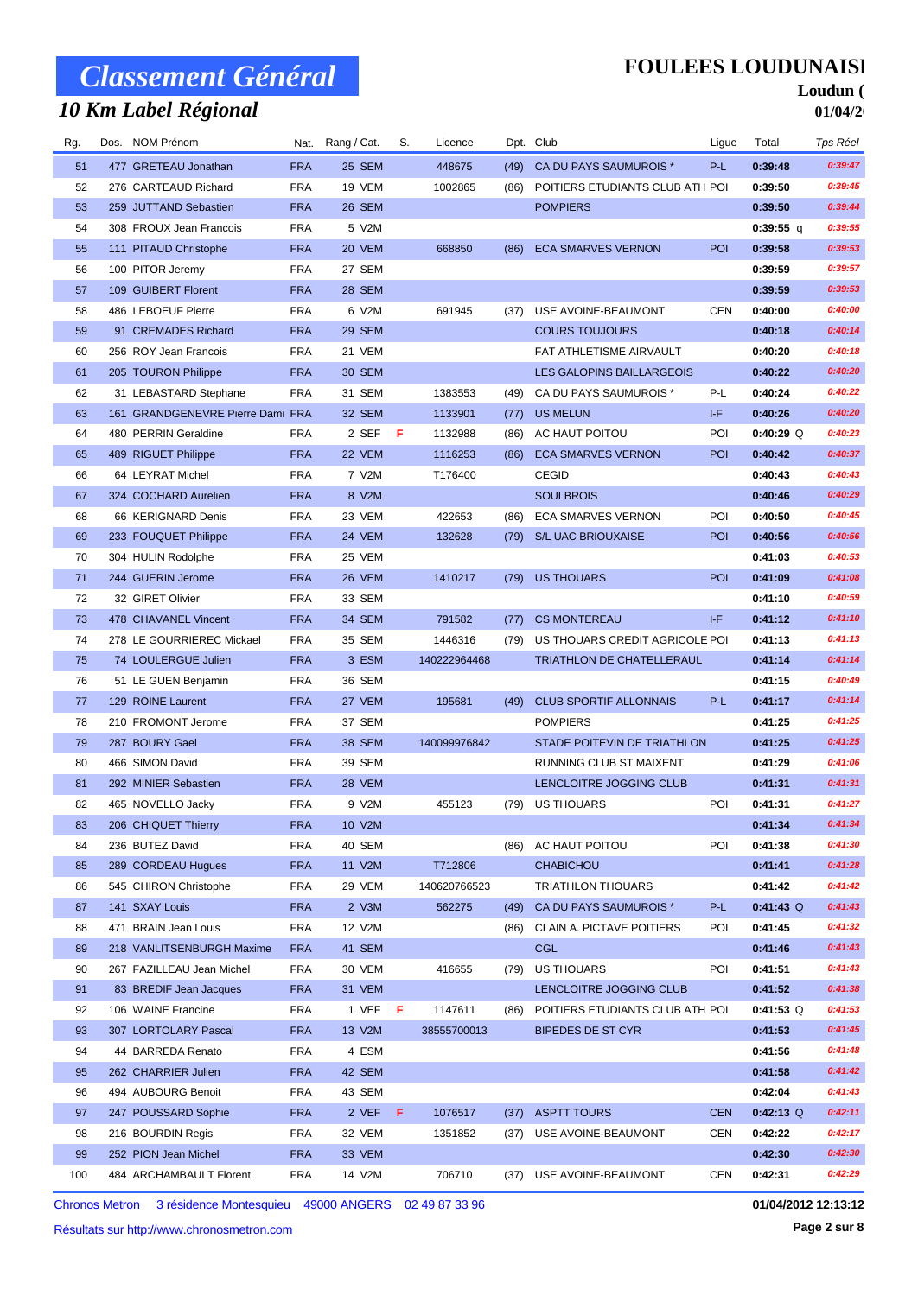## *10 Km Label Régional*

### **FOULEES LOUDUNAISE**

#### Loudun ( **01/04/2**

| Rg.      | Dos. NOM Prénom                         |                          | Nat. Rang / Cat. | S.  | Licence      |      | Dpt. Club                                          | Ligue      | Total              | Tps Réel           |
|----------|-----------------------------------------|--------------------------|------------------|-----|--------------|------|----------------------------------------------------|------------|--------------------|--------------------|
| 51       | 477 GRETEAU Jonathan                    | <b>FRA</b>               | 25 SEM           |     | 448675       | (49) | CA DU PAYS SAUMUROIS *                             | P-L        | 0:39:48            | 0:39:47            |
| 52       | 276 CARTEAUD Richard                    | <b>FRA</b>               | 19 VEM           |     | 1002865      | (86) | POITIERS ETUDIANTS CLUB ATH POI                    |            | 0:39:50            | 0:39:45            |
| 53       | 259 JUTTAND Sebastien                   | <b>FRA</b>               | 26 SEM           |     |              |      | <b>POMPIERS</b>                                    |            | 0:39:50            | 0:39:44            |
| 54       | 308 FROUX Jean Francois                 | <b>FRA</b>               | 5 V2M            |     |              |      |                                                    |            | $0:39:55$ q        | 0:39:55            |
| 55       | 111 PITAUD Christophe                   | <b>FRA</b>               | 20 VEM           |     | 668850       | (86) | <b>ECA SMARVES VERNON</b>                          | POI        | 0:39:58            | 0:39:53            |
| 56       | 100 PITOR Jeremy                        | <b>FRA</b>               | 27 SEM           |     |              |      |                                                    |            | 0:39:59            | 0:39:57            |
| 57       | 109 GUIBERT Florent                     | <b>FRA</b>               | 28 SEM           |     |              |      |                                                    |            | 0:39:59            | 0:39:53            |
| 58       | 486 LEBOEUF Pierre                      | <b>FRA</b>               | 6 V2M            |     | 691945       | (37) | USE AVOINE-BEAUMONT                                | CEN        | 0:40:00            | 0:40:00            |
| 59       | 91 CREMADES Richard                     | <b>FRA</b>               | 29 SEM           |     |              |      | <b>COURS TOUJOURS</b>                              |            | 0:40:18            | 0:40:14            |
| 60       | 256 ROY Jean Francois                   | <b>FRA</b>               | 21 VEM           |     |              |      | FAT ATHLETISME AIRVAULT                            |            | 0:40:20            | 0:40:18            |
| 61       | 205 TOURON Philippe                     | <b>FRA</b>               | 30 SEM           |     |              |      | LES GALOPINS BAILLARGEOIS                          |            | 0:40:22            | 0:40:20            |
| 62       | 31 LEBASTARD Stephane                   | <b>FRA</b>               | 31 SEM           |     | 1383553      | (49) | CA DU PAYS SAUMUROIS *                             | P-L        | 0:40:24            | 0:40:22            |
| 63       | 161 GRANDGENEVRE Pierre Dami FRA        |                          | 32 SEM           |     | 1133901      | (77) | <b>US MELUN</b>                                    | I-F        | 0:40:26            | 0:40:20            |
| 64       | 480 PERRIN Geraldine                    | <b>FRA</b>               | 2 SEF            | -F  | 1132988      | (86) | AC HAUT POITOU                                     | POI        | $0:40:29$ Q        | 0:40:23            |
| 65       | 489 RIGUET Philippe                     | <b>FRA</b>               | 22 VEM           |     | 1116253      | (86) | <b>ECA SMARVES VERNON</b>                          | <b>POI</b> | 0:40:42            | 0:40:37            |
| 66       | 64 LEYRAT Michel                        | <b>FRA</b>               | 7 V2M            |     | T176400      |      | <b>CEGID</b>                                       |            | 0:40:43            | 0:40:43            |
| 67       | 324 COCHARD Aurelien                    | <b>FRA</b>               | 8 V2M            |     |              |      | <b>SOULBROIS</b>                                   |            | 0:40:46            | 0:40:29            |
| 68       | 66 KERIGNARD Denis                      | <b>FRA</b>               | 23 VEM           |     | 422653       | (86) | ECA SMARVES VERNON                                 | POI        | 0:40:50            | 0:40:45            |
| 69       | 233 FOUQUET Philippe                    | <b>FRA</b>               | 24 VEM           |     | 132628       | (79) | <b>S/L UAC BRIOUXAISE</b>                          | POI        | 0:40:56            | 0:40:56            |
| 70       | 304 HULIN Rodolphe                      | <b>FRA</b>               | 25 VEM           |     |              |      |                                                    |            | 0:41:03            | 0:40:53            |
| 71       | 244 GUERIN Jerome                       | <b>FRA</b>               | 26 VEM           |     | 1410217      | (79) | <b>US THOUARS</b>                                  | POI        | 0:41:09            | 0:41:08            |
| 72       | 32 GIRET Olivier                        | <b>FRA</b>               | 33 SEM           |     |              |      |                                                    |            | 0:41:10            | 0:40:59            |
| 73       | 478 CHAVANEL Vincent                    | <b>FRA</b>               | 34 SEM           |     | 791582       | (77) | <b>CS MONTEREAU</b>                                | I-F        | 0:41:12            | 0:41:10            |
| 74       | 278 LE GOURRIEREC Mickael               | <b>FRA</b>               | 35 SEM           |     | 1446316      | (79) | US THOUARS CREDIT AGRICOLE POI                     |            | 0:41:13            | 0:41:13            |
| 75       | 74 LOULERGUE Julien                     | <b>FRA</b>               | 3 ESM            |     | 140222964468 |      | <b>TRIATHLON DE CHATELLERAUL</b>                   |            | 0:41:14            | 0:41:14            |
| 76       | 51 LE GUEN Benjamin                     | <b>FRA</b>               | 36 SEM           |     |              |      |                                                    |            | 0:41:15            | 0:40:49            |
| 77       | 129 ROINE Laurent                       | <b>FRA</b>               | 27 VEM           |     | 195681       | (49) | <b>CLUB SPORTIF ALLONNAIS</b>                      | P-L        | 0:41:17            | 0:41:14            |
| 78       | 210 FROMONT Jerome                      | <b>FRA</b>               | 37 SEM           |     |              |      | <b>POMPIERS</b>                                    |            | 0:41:25            | 0:41:25<br>0:41:25 |
| 79       | 287 BOURY Gael                          | <b>FRA</b>               | 38 SEM           |     | 140099976842 |      | STADE POITEVIN DE TRIATHLON                        |            | 0:41:25            | 0:41:06            |
| 80<br>81 | 466 SIMON David<br>292 MINIER Sebastien | <b>FRA</b>               | 39 SEM           |     |              |      | RUNNING CLUB ST MAIXENT<br>LENCLOITRE JOGGING CLUB |            | 0:41:29            | 0:41:31            |
| 82       | 465 NOVELLO Jacky                       | <b>FRA</b><br><b>FRA</b> | 28 VEM<br>9 V2M  |     | 455123       | (79) | US THOUARS                                         | POI        | 0:41:31<br>0:41:31 | 0:41:27            |
| 83       | 206 CHIQUET Thierry                     | <b>FRA</b>               | 10 V2M           |     |              |      |                                                    |            | 0:41:34            | 0:41:34            |
| 84       | 236 BUTEZ David                         | <b>FRA</b>               | 40 SEM           |     |              | (86) | AC HAUT POITOU                                     | POI        | 0:41:38            | 0:41:30            |
| 85       | 289 CORDEAU Hugues                      | <b>FRA</b>               | 11 V2M           |     | T712806      |      | <b>CHABICHOU</b>                                   |            | 0:41:41            | 0:41:28            |
| 86       | 545 CHIRON Christophe                   | <b>FRA</b>               | 29 VEM           |     | 140620766523 |      | <b>TRIATHLON THOUARS</b>                           |            | 0:41:42            | 0:41:42            |
| 87       | 141 SXAY Louis                          | <b>FRA</b>               | 2 V3M            |     | 562275       | (49) | CA DU PAYS SAUMUROIS *                             | P-L        | $0:41:43$ Q        | 0:41:43            |
| 88       | 471 BRAIN Jean Louis                    | <b>FRA</b>               | 12 V2M           |     |              | (86) | CLAIN A. PICTAVE POITIERS                          | POI        | 0:41:45            | 0:41:32            |
| 89       | 218 VANLITSENBURGH Maxime               | <b>FRA</b>               | 41 SEM           |     |              |      | <b>CGL</b>                                         |            | 0:41:46            | 0:41:43            |
| 90       | 267 FAZILLEAU Jean Michel               | <b>FRA</b>               | 30 VEM           |     | 416655       | (79) | <b>US THOUARS</b>                                  | POI        | 0:41:51            | 0:41:43            |
| 91       | 83 BREDIF Jean Jacques                  | <b>FRA</b>               | 31 VEM           |     |              |      | LENCLOITRE JOGGING CLUB                            |            | 0:41:52            | 0:41:38            |
| 92       | 106 WAINE Francine                      | <b>FRA</b>               | 1 VEF            | - F | 1147611      | (86) | POITIERS ETUDIANTS CLUB ATH POI                    |            | $0:41:53$ Q        | 0:41:53            |
| 93       | 307 LORTOLARY Pascal                    | <b>FRA</b>               | 13 V2M           |     | 38555700013  |      | <b>BIPEDES DE ST CYR</b>                           |            | 0:41:53            | 0:41:45            |
| 94       | 44 BARREDA Renato                       | <b>FRA</b>               | 4 ESM            |     |              |      |                                                    |            | 0:41:56            | 0:41:48            |
| 95       | 262 CHARRIER Julien                     | <b>FRA</b>               | 42 SEM           |     |              |      |                                                    |            | 0:41:58            | 0:41:42            |
| 96       | 494 AUBOURG Benoit                      | <b>FRA</b>               | 43 SEM           |     |              |      |                                                    |            | 0:42:04            | 0:41:43            |
| 97       | 247 POUSSARD Sophie                     | <b>FRA</b>               | 2 VEF F          |     | 1076517      | (37) | <b>ASPTT TOURS</b>                                 | <b>CEN</b> | $0:42:13$ Q        | 0:42:11            |
| 98       | 216 BOURDIN Regis                       | <b>FRA</b>               | 32 VEM           |     | 1351852      | (37) | USE AVOINE-BEAUMONT                                | CEN        | 0:42:22            | 0:42:17            |
| 99       | 252 PION Jean Michel                    | <b>FRA</b>               | 33 VEM           |     |              |      |                                                    |            | 0:42:30            | 0:42:30            |
| 100      | 484 ARCHAMBAULT Florent                 | FRA                      | 14 V2M           |     | 706710       | (37) | USE AVOINE-BEAUMONT                                | <b>CEN</b> | 0:42:31            | 0:42:29            |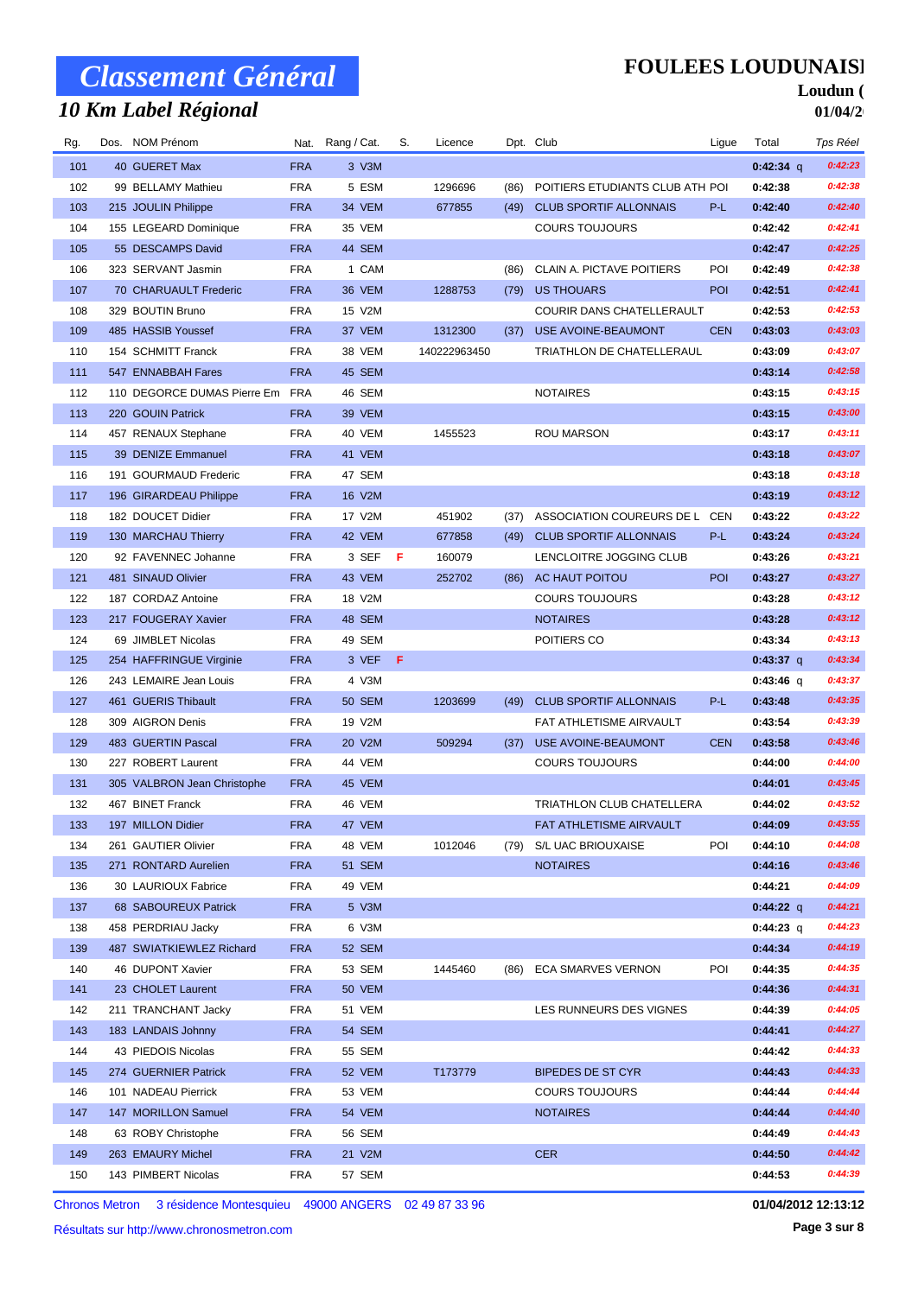## *10 Km Label Régional*

### **FOULEES LOUDUNAISE**

#### Loudun ( **01/04/2**

| Rg. | Dos. NOM Prénom             |            | Nat. Rang / Cat. | S.  | Licence      |      | Dpt. Club                        | Ligue      | Total       | Tps Réel |
|-----|-----------------------------|------------|------------------|-----|--------------|------|----------------------------------|------------|-------------|----------|
| 101 | 40 GUERET Max               | <b>FRA</b> | 3 V3M            |     |              |      |                                  |            | $0:42:34$ q | 0:42:23  |
| 102 | 99 BELLAMY Mathieu          | <b>FRA</b> | 5 ESM            |     | 1296696      | (86) | POITIERS ETUDIANTS CLUB ATH POI  |            | 0:42:38     | 0:42:38  |
| 103 | 215 JOULIN Philippe         | <b>FRA</b> | 34 VEM           |     | 677855       | (49) | <b>CLUB SPORTIF ALLONNAIS</b>    | P-L        | 0:42:40     | 0:42:40  |
| 104 | 155 LEGEARD Dominique       | <b>FRA</b> | 35 VEM           |     |              |      | <b>COURS TOUJOURS</b>            |            | 0:42:42     | 0:42:41  |
| 105 | 55 DESCAMPS David           | <b>FRA</b> | 44 SEM           |     |              |      |                                  |            | 0:42:47     | 0:42:25  |
| 106 | 323 SERVANT Jasmin          | <b>FRA</b> | 1 CAM            |     |              | (86) | CLAIN A. PICTAVE POITIERS        | POI        | 0:42:49     | 0:42:38  |
| 107 | 70 CHARUAULT Frederic       | <b>FRA</b> | 36 VEM           |     | 1288753      | (79) | <b>US THOUARS</b>                | POI        | 0:42:51     | 0:42:41  |
| 108 | 329 BOUTIN Bruno            | <b>FRA</b> | 15 V2M           |     |              |      | COURIR DANS CHATELLERAULT        |            | 0:42:53     | 0:42:53  |
| 109 | 485 HASSIB Youssef          | <b>FRA</b> | 37 VEM           |     | 1312300      | (37) | USE AVOINE-BEAUMONT              | <b>CEN</b> | 0:43:03     | 0:43:03  |
| 110 | 154 SCHMITT Franck          | <b>FRA</b> | 38 VEM           |     | 140222963450 |      | TRIATHLON DE CHATELLERAUL        |            | 0:43:09     | 0:43:07  |
| 111 | 547 ENNABBAH Fares          | <b>FRA</b> | 45 SEM           |     |              |      |                                  |            | 0:43:14     | 0:42:58  |
| 112 | 110 DEGORCE DUMAS Pierre Em | FRA        | 46 SEM           |     |              |      | <b>NOTAIRES</b>                  |            | 0:43:15     | 0:43:15  |
| 113 | 220 GOUIN Patrick           | <b>FRA</b> | 39 VEM           |     |              |      |                                  |            | 0:43:15     | 0:43:00  |
| 114 | 457 RENAUX Stephane         | <b>FRA</b> | 40 VEM           |     | 1455523      |      | ROU MARSON                       |            | 0:43:17     | 0:43:11  |
| 115 | 39 DENIZE Emmanuel          | <b>FRA</b> | 41 VEM           |     |              |      |                                  |            | 0:43:18     | 0:43:07  |
| 116 | 191 GOURMAUD Frederic       | <b>FRA</b> | 47 SEM           |     |              |      |                                  |            | 0:43:18     | 0:43:18  |
| 117 | 196 GIRARDEAU Philippe      | <b>FRA</b> | 16 V2M           |     |              |      |                                  |            | 0:43:19     | 0:43:12  |
| 118 | 182 DOUCET Didier           | <b>FRA</b> | 17 V2M           |     | 451902       | (37) | ASSOCIATION COUREURS DE L        | CEN        | 0:43:22     | 0:43:22  |
| 119 | 130 MARCHAU Thierry         | <b>FRA</b> | 42 VEM           |     | 677858       | (49) | <b>CLUB SPORTIF ALLONNAIS</b>    | P-L        | 0:43:24     | 0:43:24  |
| 120 | 92 FAVENNEC Johanne         | <b>FRA</b> | 3 SEF            | -F  | 160079       |      | LENCLOITRE JOGGING CLUB          |            | 0:43:26     | 0:43:21  |
| 121 | 481 SINAUD Olivier          | <b>FRA</b> | 43 VEM           |     | 252702       | (86) | AC HAUT POITOU                   | POI        | 0:43:27     | 0:43:27  |
| 122 | 187 CORDAZ Antoine          | <b>FRA</b> | 18 V2M           |     |              |      | <b>COURS TOUJOURS</b>            |            | 0:43:28     | 0:43:12  |
| 123 | 217 FOUGERAY Xavier         | <b>FRA</b> | 48 SEM           |     |              |      | <b>NOTAIRES</b>                  |            | 0:43:28     | 0:43:12  |
| 124 | 69 JIMBLET Nicolas          | <b>FRA</b> | 49 SEM           |     |              |      | POITIERS CO                      |            | 0:43:34     | 0:43:13  |
| 125 | 254 HAFFRINGUE Virginie     | <b>FRA</b> | 3 VEF            | - F |              |      |                                  |            | $0:43:37$ q | 0:43:34  |
| 126 | 243 LEMAIRE Jean Louis      | <b>FRA</b> | 4 V3M            |     |              |      |                                  |            | $0:43:46$ q | 0:43:37  |
| 127 | 461 GUERIS Thibault         | <b>FRA</b> | <b>50 SEM</b>    |     | 1203699      | (49) | <b>CLUB SPORTIF ALLONNAIS</b>    | P-L        | 0:43:48     | 0:43:35  |
| 128 | 309 AIGRON Denis            | <b>FRA</b> | 19 V2M           |     |              |      | FAT ATHLETISME AIRVAULT          |            | 0:43:54     | 0:43:39  |
| 129 | 483 GUERTIN Pascal          | <b>FRA</b> | 20 V2M           |     | 509294       | (37) | USE AVOINE-BEAUMONT              | <b>CEN</b> | 0:43:58     | 0:43:46  |
| 130 | 227 ROBERT Laurent          | <b>FRA</b> | 44 VEM           |     |              |      | <b>COURS TOUJOURS</b>            |            | 0:44:00     | 0:44:00  |
| 131 | 305 VALBRON Jean Christophe | <b>FRA</b> | 45 VEM           |     |              |      |                                  |            | 0:44:01     | 0:43:45  |
| 132 | 467 BINET Franck            | <b>FRA</b> | 46 VEM           |     |              |      | <b>TRIATHLON CLUB CHATELLERA</b> |            | 0:44:02     | 0:43:52  |
| 133 | 197 MILLON Didier           | <b>FRA</b> | 47 VEM           |     |              |      | FAT ATHLETISME AIRVAULT          |            | 0:44:09     | 0:43:55  |
| 134 | 261 GAUTIER Olivier         | <b>FRA</b> | 48 VEM           |     | 1012046      | (79) | S/L UAC BRIOUXAISE               | POI        | 0:44:10     | 0:44:08  |
| 135 | 271 RONTARD Aurelien        | <b>FRA</b> | 51 SEM           |     |              |      | <b>NOTAIRES</b>                  |            | 0:44:16     | 0:43:46  |
| 136 | 30 LAURIOUX Fabrice         | <b>FRA</b> | 49 VEM           |     |              |      |                                  |            | 0:44:21     | 0:44:09  |
| 137 | 68 SABOUREUX Patrick        | <b>FRA</b> | 5 V3M            |     |              |      |                                  |            | $0:44:22$ q | 0:44:21  |
| 138 | 458 PERDRIAU Jacky          | <b>FRA</b> | 6 V3M            |     |              |      |                                  |            | $0:44:23$ q | 0:44:23  |
| 139 | 487 SWIATKIEWLEZ Richard    | <b>FRA</b> | 52 SEM           |     |              |      |                                  |            | 0:44:34     | 0:44:19  |
| 140 | 46 DUPONT Xavier            | <b>FRA</b> | 53 SEM           |     | 1445460      | (86) | <b>ECA SMARVES VERNON</b>        | POI        | 0:44:35     | 0:44:35  |
| 141 | 23 CHOLET Laurent           | <b>FRA</b> | <b>50 VEM</b>    |     |              |      |                                  |            | 0:44:36     | 0:44:31  |
| 142 | 211 TRANCHANT Jacky         | <b>FRA</b> | 51 VEM           |     |              |      | LES RUNNEURS DES VIGNES          |            | 0:44:39     | 0:44:05  |
| 143 | 183 LANDAIS Johnny          | <b>FRA</b> | 54 SEM           |     |              |      |                                  |            | 0:44:41     | 0:44:27  |
| 144 | 43 PIEDOIS Nicolas          | <b>FRA</b> | 55 SEM           |     |              |      |                                  |            | 0:44:42     | 0:44:33  |
| 145 | 274 GUERNIER Patrick        | <b>FRA</b> | 52 VEM           |     | T173779      |      | <b>BIPEDES DE ST CYR</b>         |            | 0:44:43     | 0:44:33  |
| 146 | 101 NADEAU Pierrick         | <b>FRA</b> | 53 VEM           |     |              |      | <b>COURS TOUJOURS</b>            |            | 0:44:44     | 0:44:44  |
| 147 | 147 MORILLON Samuel         | <b>FRA</b> | 54 VEM           |     |              |      | <b>NOTAIRES</b>                  |            | 0:44:44     | 0:44:40  |
| 148 | 63 ROBY Christophe          | <b>FRA</b> | 56 SEM           |     |              |      |                                  |            | 0:44:49     | 0:44:43  |
| 149 | 263 EMAURY Michel           | <b>FRA</b> | 21 V2M           |     |              |      | <b>CER</b>                       |            | 0:44:50     | 0:44:42  |
| 150 | 143 PIMBERT Nicolas         | FRA        | 57 SEM           |     |              |      |                                  |            | 0:44:53     | 0:44:39  |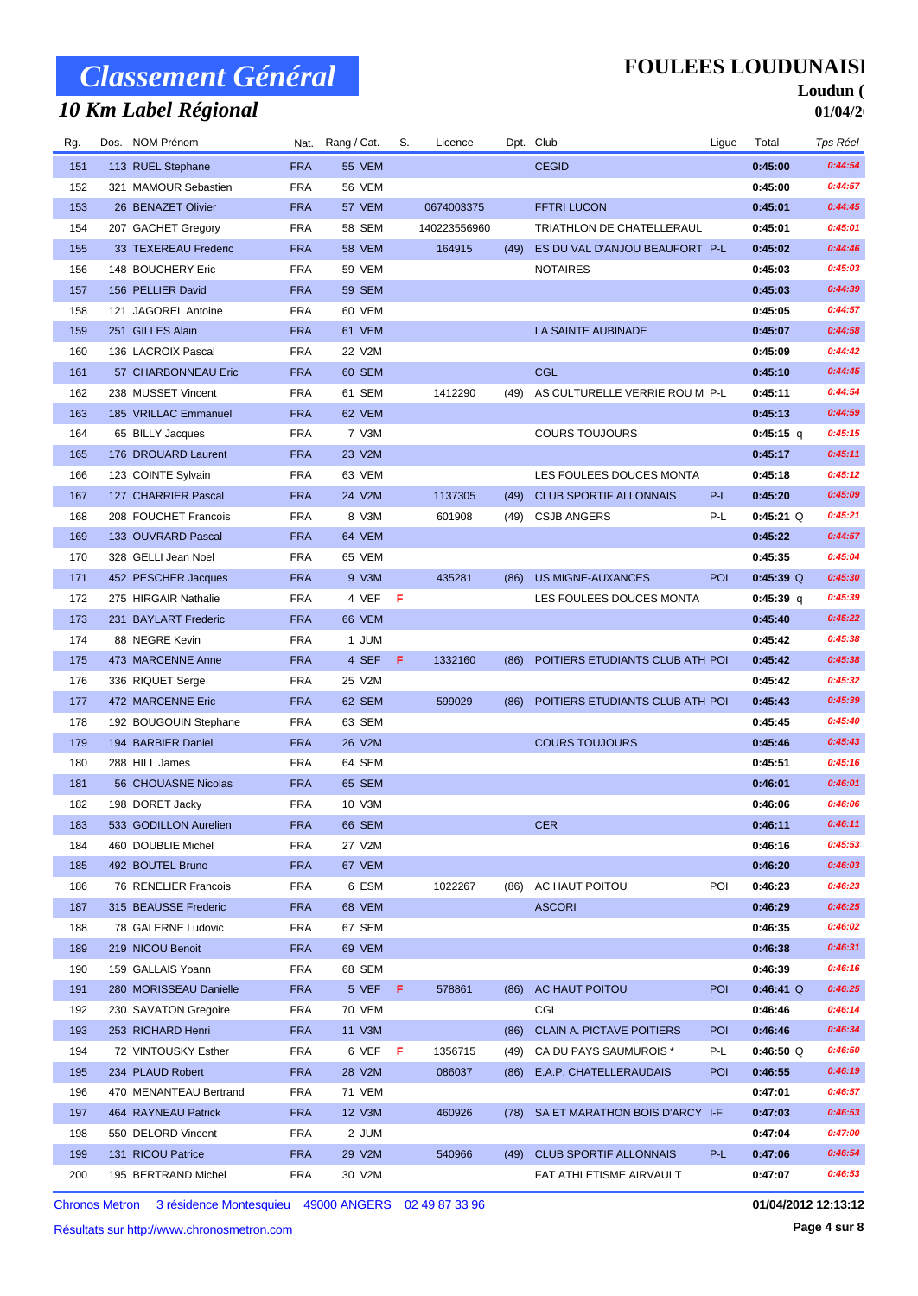## *10 Km Label Régional*

### **FOULEES LOUDUNAISE**

#### Loudun ( **01/04/2**

| Rg. | Dos. NOM Prénom        |            | Nat. Rang / Cat. | S.  | Licence      |      | Dpt. Club                        | Ligue      | Total       | Tps Réel |
|-----|------------------------|------------|------------------|-----|--------------|------|----------------------------------|------------|-------------|----------|
| 151 | 113 RUEL Stephane      | <b>FRA</b> | 55 VEM           |     |              |      | <b>CEGID</b>                     |            | 0:45:00     | 0:44:54  |
| 152 | 321 MAMOUR Sebastien   | <b>FRA</b> | 56 VEM           |     |              |      |                                  |            | 0:45:00     | 0:44:57  |
| 153 | 26 BENAZET Olivier     | <b>FRA</b> | 57 VEM           |     | 0674003375   |      | <b>FFTRI LUCON</b>               |            | 0:45:01     | 0:44:45  |
| 154 | 207 GACHET Gregory     | <b>FRA</b> | 58 SEM           |     | 140223556960 |      | TRIATHLON DE CHATELLERAUL        |            | 0:45:01     | 0:45:01  |
| 155 | 33 TEXEREAU Frederic   | <b>FRA</b> | 58 VEM           |     | 164915       | (49) | ES DU VAL D'ANJOU BEAUFORT P-L   |            | 0:45:02     | 0:44:46  |
| 156 | 148 BOUCHERY Eric      | <b>FRA</b> | 59 VEM           |     |              |      | <b>NOTAIRES</b>                  |            | 0:45:03     | 0:45:03  |
| 157 | 156 PELLIER David      | <b>FRA</b> | 59 SEM           |     |              |      |                                  |            | 0:45:03     | 0:44:39  |
| 158 | 121 JAGOREL Antoine    | <b>FRA</b> | 60 VEM           |     |              |      |                                  |            | 0:45:05     | 0:44:57  |
| 159 | 251 GILLES Alain       | <b>FRA</b> | 61 VEM           |     |              |      | <b>LA SAINTE AUBINADE</b>        |            | 0:45:07     | 0:44:58  |
| 160 | 136 LACROIX Pascal     | <b>FRA</b> | 22 V2M           |     |              |      |                                  |            | 0:45:09     | 0:44:42  |
| 161 | 57 CHARBONNEAU Eric    | <b>FRA</b> | 60 SEM           |     |              |      | <b>CGL</b>                       |            | 0:45:10     | 0:44:45  |
| 162 | 238 MUSSET Vincent     | <b>FRA</b> | 61 SEM           |     | 1412290      | (49) | AS CULTURELLE VERRIE ROU M P-L   |            | 0:45:11     | 0:44:54  |
| 163 | 185 VRILLAC Emmanuel   | <b>FRA</b> | 62 VEM           |     |              |      |                                  |            | 0:45:13     | 0:44:59  |
| 164 | 65 BILLY Jacques       | <b>FRA</b> | 7 V3M            |     |              |      | <b>COURS TOUJOURS</b>            |            | 0:45:15 q   | 0:45:15  |
| 165 | 176 DROUARD Laurent    | <b>FRA</b> | 23 V2M           |     |              |      |                                  |            | 0:45:17     | 0:45:11  |
| 166 | 123 COINTE Sylvain     | <b>FRA</b> | 63 VEM           |     |              |      | LES FOULEES DOUCES MONTA         |            | 0:45:18     | 0:45:12  |
| 167 | 127 CHARRIER Pascal    | <b>FRA</b> | 24 V2M           |     | 1137305      | (49) | <b>CLUB SPORTIF ALLONNAIS</b>    | P-L        | 0:45:20     | 0:45:09  |
| 168 | 208 FOUCHET Francois   | <b>FRA</b> | 8 V3M            |     | 601908       | (49) | <b>CSJB ANGERS</b>               | P-L        | $0:45:21$ Q | 0:45:21  |
| 169 | 133 OUVRARD Pascal     | <b>FRA</b> | 64 VEM           |     |              |      |                                  |            | 0:45:22     | 0:44:57  |
| 170 | 328 GELLI Jean Noel    | <b>FRA</b> | 65 VEM           |     |              |      |                                  |            | 0:45:35     | 0:45:04  |
| 171 | 452 PESCHER Jacques    | <b>FRA</b> | 9 V3M            |     | 435281       | (86) | <b>US MIGNE-AUXANCES</b>         | POI        | $0:45:39$ Q | 0:45:30  |
| 172 | 275 HIRGAIR Nathalie   | <b>FRA</b> | 4 VEF            | - F |              |      | LES FOULEES DOUCES MONTA         |            | 0:45:39 q   | 0:45:39  |
| 173 | 231 BAYLART Frederic   | <b>FRA</b> | 66 VEM           |     |              |      |                                  |            | 0:45:40     | 0:45:22  |
| 174 | 88 NEGRE Kevin         | <b>FRA</b> | 1 JUM            |     |              |      |                                  |            | 0:45:42     | 0:45:38  |
| 175 | 473 MARCENNE Anne      | <b>FRA</b> | 4 SEF            | -F  | 1332160      | (86) | POITIERS ETUDIANTS CLUB ATH POI  |            | 0:45:42     | 0:45:38  |
| 176 | 336 RIQUET Serge       | <b>FRA</b> | 25 V2M           |     |              |      |                                  |            | 0:45:42     | 0:45:32  |
| 177 | 472 MARCENNE Eric      | <b>FRA</b> | 62 SEM           |     | 599029       | (86) | POITIERS ETUDIANTS CLUB ATH POI  |            | 0:45:43     | 0:45:39  |
| 178 | 192 BOUGOUIN Stephane  | <b>FRA</b> | 63 SEM           |     |              |      |                                  |            | 0:45:45     | 0:45:40  |
| 179 | 194 BARBIER Daniel     | <b>FRA</b> | 26 V2M           |     |              |      | <b>COURS TOUJOURS</b>            |            | 0:45:46     | 0:45:43  |
| 180 | 288 HILL James         | <b>FRA</b> | 64 SEM           |     |              |      |                                  |            | 0:45:51     | 0:45:16  |
| 181 | 56 CHOUASNE Nicolas    | <b>FRA</b> | 65 SEM           |     |              |      |                                  |            | 0:46:01     | 0:46:01  |
| 182 | 198 DORET Jacky        | <b>FRA</b> | 10 V3M           |     |              |      |                                  |            | 0:46:06     | 0:46:06  |
| 183 | 533 GODILLON Aurelien  | <b>FRA</b> | 66 SEM           |     |              |      | <b>CER</b>                       |            | 0:46:11     | 0:46:11  |
| 184 | 460 DOUBLIE Michel     | <b>FRA</b> | 27 V2M           |     |              |      |                                  |            | 0:46:16     | 0:45:53  |
| 185 | 492 BOUTEL Bruno       | <b>FRA</b> | 67 VEM           |     |              |      |                                  |            | 0:46:20     | 0:46:03  |
| 186 | 76 RENELIER Francois   | <b>FRA</b> | 6 ESM            |     | 1022267      | (86) | AC HAUT POITOU                   | POI        | 0:46:23     | 0:46:23  |
| 187 | 315 BEAUSSE Frederic   | <b>FRA</b> | 68 VEM           |     |              |      | <b>ASCORI</b>                    |            | 0:46:29     | 0:46:25  |
| 188 | 78 GALERNE Ludovic     | <b>FRA</b> | 67 SEM           |     |              |      |                                  |            | 0:46:35     | 0:46:02  |
| 189 | 219 NICOU Benoit       | <b>FRA</b> | 69 VEM           |     |              |      |                                  |            | 0:46:38     | 0:46:31  |
| 190 | 159 GALLAIS Yoann      | <b>FRA</b> | 68 SEM           |     |              |      |                                  |            | 0:46:39     | 0:46:16  |
| 191 | 280 MORISSEAU Danielle | <b>FRA</b> | 5 VEF F          |     | 578861       | (86) | AC HAUT POITOU                   | POI        | $0:46:41$ Q | 0:46:25  |
| 192 | 230 SAVATON Gregoire   | <b>FRA</b> | 70 VEM           |     |              |      | CGL                              |            | 0:46:46     | 0:46:14  |
| 193 | 253 RICHARD Henri      | <b>FRA</b> | 11 V3M           |     |              | (86) | <b>CLAIN A. PICTAVE POITIERS</b> | <b>POI</b> | 0:46:46     | 0:46:34  |
| 194 | 72 VINTOUSKY Esther    | <b>FRA</b> | 6 VEF F          |     | 1356715      | (49) | CA DU PAYS SAUMUROIS *           | P-L        | $0:46:50$ Q | 0:46:50  |
| 195 | 234 PLAUD Robert       | <b>FRA</b> | 28 V2M           |     | 086037       | (86) | E.A.P. CHATELLERAUDAIS           | <b>POI</b> | 0:46:55     | 0:46:19  |
| 196 | 470 MENANTEAU Bertrand | <b>FRA</b> | 71 VEM           |     |              |      |                                  |            | 0:47:01     | 0:46:57  |
| 197 | 464 RAYNEAU Patrick    | <b>FRA</b> | 12 V3M           |     | 460926       | (78) | SA ET MARATHON BOIS D'ARCY I-F   |            | 0:47:03     | 0:46:53  |
| 198 | 550 DELORD Vincent     | <b>FRA</b> | 2 JUM            |     |              |      |                                  |            | 0:47:04     | 0:47:00  |
| 199 | 131 RICOU Patrice      | <b>FRA</b> | 29 V2M           |     | 540966       | (49) | <b>CLUB SPORTIF ALLONNAIS</b>    | P-L        | 0:47:06     | 0:46:54  |
| 200 | 195 BERTRAND Michel    | <b>FRA</b> | 30 V2M           |     |              |      | FAT ATHLETISME AIRVAULT          |            | 0:47:07     | 0:46:53  |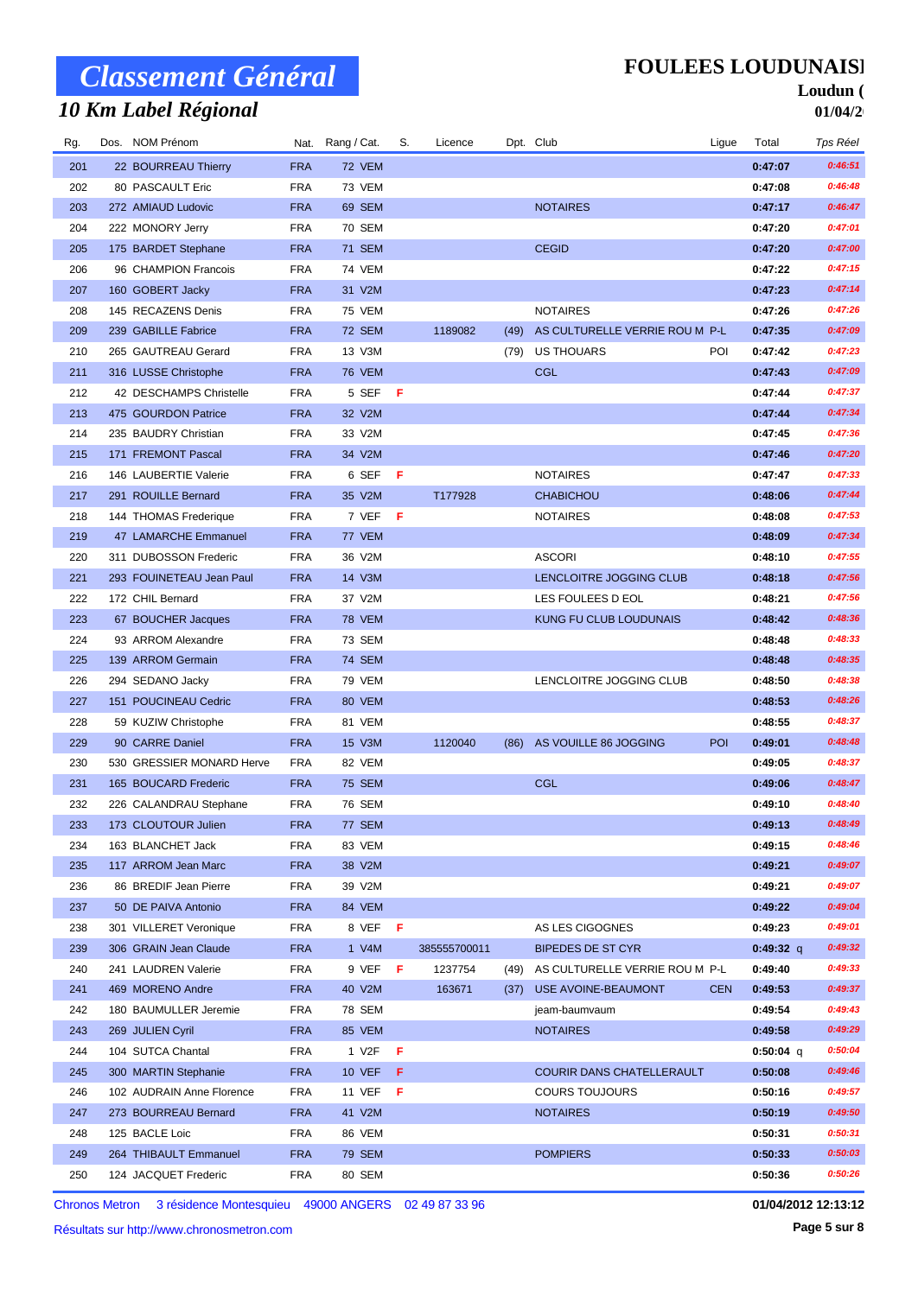## *10 Km Label Régional*

**FOULEES LOUDUNAISE** 

#### Loudun ( **01/04/2**

| Rg. | Dos. NOM Prénom           |            | Nat. Rang / Cat. | S.  | Licence      |      | Dpt. Club                      | Ligue      | Total       | Tps Réel |
|-----|---------------------------|------------|------------------|-----|--------------|------|--------------------------------|------------|-------------|----------|
| 201 | 22 BOURREAU Thierry       | <b>FRA</b> | 72 VEM           |     |              |      |                                |            | 0:47:07     | 0:46:51  |
| 202 | 80 PASCAULT Eric          | <b>FRA</b> | 73 VEM           |     |              |      |                                |            | 0:47:08     | 0:46:48  |
| 203 | 272 AMIAUD Ludovic        | <b>FRA</b> | 69 SEM           |     |              |      | <b>NOTAIRES</b>                |            | 0:47:17     | 0:46:47  |
| 204 | 222 MONORY Jerry          | <b>FRA</b> | 70 SEM           |     |              |      |                                |            | 0:47:20     | 0:47:01  |
| 205 | 175 BARDET Stephane       | <b>FRA</b> | <b>71 SEM</b>    |     |              |      | <b>CEGID</b>                   |            | 0:47:20     | 0:47:00  |
| 206 | 96 CHAMPION Francois      | <b>FRA</b> | <b>74 VEM</b>    |     |              |      |                                |            | 0:47:22     | 0:47:15  |
| 207 | 160 GOBERT Jacky          | <b>FRA</b> | 31 V2M           |     |              |      |                                |            | 0:47:23     | 0:47:14  |
| 208 | 145 RECAZENS Denis        | <b>FRA</b> | 75 VEM           |     |              |      | <b>NOTAIRES</b>                |            | 0:47:26     | 0:47:26  |
| 209 | 239 GABILLE Fabrice       | <b>FRA</b> | 72 SEM           |     | 1189082      | (49) | AS CULTURELLE VERRIE ROU M P-L |            | 0:47:35     | 0:47:09  |
| 210 | 265 GAUTREAU Gerard       | <b>FRA</b> | 13 V3M           |     |              | (79) | <b>US THOUARS</b>              | POI        | 0:47:42     | 0:47:23  |
| 211 | 316 LUSSE Christophe      | <b>FRA</b> | <b>76 VEM</b>    |     |              |      | <b>CGL</b>                     |            | 0:47:43     | 0:47:09  |
| 212 | 42 DESCHAMPS Christelle   | <b>FRA</b> | 5 SEF            | - F |              |      |                                |            | 0:47:44     | 0:47:37  |
| 213 | 475 GOURDON Patrice       | <b>FRA</b> | 32 V2M           |     |              |      |                                |            | 0:47:44     | 0:47:34  |
| 214 | 235 BAUDRY Christian      | <b>FRA</b> | 33 V2M           |     |              |      |                                |            | 0:47:45     | 0:47:36  |
| 215 | 171 FREMONT Pascal        | <b>FRA</b> | 34 V2M           |     |              |      |                                |            | 0:47:46     | 0:47:20  |
| 216 | 146 LAUBERTIE Valerie     | <b>FRA</b> | 6 SEF            | - F |              |      | <b>NOTAIRES</b>                |            | 0:47:47     | 0:47:33  |
| 217 | 291 ROUILLE Bernard       | <b>FRA</b> | 35 V2M           |     | T177928      |      | <b>CHABICHOU</b>               |            | 0:48:06     | 0:47:44  |
| 218 | 144 THOMAS Frederique     | <b>FRA</b> | 7 VEF            | -F  |              |      | <b>NOTAIRES</b>                |            | 0:48:08     | 0:47:53  |
| 219 | 47 LAMARCHE Emmanuel      | <b>FRA</b> | 77 VEM           |     |              |      |                                |            | 0:48:09     | 0:47:34  |
| 220 | 311 DUBOSSON Frederic     | <b>FRA</b> | 36 V2M           |     |              |      | <b>ASCORI</b>                  |            | 0:48:10     | 0:47:55  |
| 221 | 293 FOUINETEAU Jean Paul  | <b>FRA</b> | 14 V3M           |     |              |      | LENCLOITRE JOGGING CLUB        |            | 0:48:18     | 0:47:56  |
| 222 | 172 CHIL Bernard          | <b>FRA</b> | 37 V2M           |     |              |      | LES FOULEES D EOL              |            | 0:48:21     | 0:47:56  |
| 223 | 67 BOUCHER Jacques        | <b>FRA</b> | <b>78 VEM</b>    |     |              |      | KUNG FU CLUB LOUDUNAIS         |            | 0:48:42     | 0:48:36  |
| 224 | 93 ARROM Alexandre        | <b>FRA</b> | 73 SEM           |     |              |      |                                |            | 0:48:48     | 0:48:33  |
| 225 | 139 ARROM Germain         | <b>FRA</b> | <b>74 SEM</b>    |     |              |      |                                |            | 0:48:48     | 0:48:35  |
| 226 | 294 SEDANO Jacky          | <b>FRA</b> | 79 VEM           |     |              |      | LENCLOITRE JOGGING CLUB        |            | 0:48:50     | 0:48:38  |
| 227 | 151 POUCINEAU Cedric      | <b>FRA</b> | 80 VEM           |     |              |      |                                |            | 0:48:53     | 0:48:26  |
| 228 | 59 KUZIW Christophe       | <b>FRA</b> | 81 VEM           |     |              |      |                                |            | 0:48:55     | 0:48:37  |
| 229 | 90 CARRE Daniel           | <b>FRA</b> | 15 V3M           |     | 1120040      | (86) | AS VOUILLE 86 JOGGING          | POI        | 0:49:01     | 0:48:48  |
| 230 | 530 GRESSIER MONARD Herve | <b>FRA</b> | 82 VEM           |     |              |      |                                |            | 0:49:05     | 0:48:37  |
| 231 | 165 BOUCARD Frederic      | <b>FRA</b> | <b>75 SEM</b>    |     |              |      | <b>CGL</b>                     |            | 0:49:06     | 0:48:47  |
| 232 | 226 CALANDRAU Stephane    | <b>FRA</b> | 76 SEM           |     |              |      |                                |            | 0:49:10     | 0:48:40  |
| 233 | 173 CLOUTOUR Julien       | <b>FRA</b> | 77 SEM           |     |              |      |                                |            | 0:49:13     | 0:48:49  |
| 234 | 163 BLANCHET Jack         | <b>FRA</b> | 83 VEM           |     |              |      |                                |            | 0:49:15     | 0:48:46  |
| 235 | 117 ARROM Jean Marc       | <b>FRA</b> | 38 V2M           |     |              |      |                                |            | 0:49:21     | 0:49:07  |
| 236 | 86 BREDIF Jean Pierre     | <b>FRA</b> | 39 V2M           |     |              |      |                                |            | 0:49:21     | 0:49:07  |
| 237 | 50 DE PAIVA Antonio       | <b>FRA</b> | 84 VEM           |     |              |      |                                |            | 0:49:22     | 0:49:04  |
| 238 | 301 VILLERET Veronique    | <b>FRA</b> | 8 VEFF           |     |              |      | AS LES CIGOGNES                |            | 0:49:23     | 0:49:01  |
| 239 | 306 GRAIN Jean Claude     | <b>FRA</b> | 1 V4M            |     | 385555700011 |      | <b>BIPEDES DE ST CYR</b>       |            | $0:49:32$ q | 0:49:32  |
| 240 | 241 LAUDREN Valerie       | <b>FRA</b> | 9 VEF            | -F  | 1237754      | (49) | AS CULTURELLE VERRIE ROU M P-L |            | 0:49:40     | 0:49:33  |
| 241 | 469 MORENO Andre          | <b>FRA</b> | 40 V2M           |     | 163671       | (37) | <b>USE AVOINE-BEAUMONT</b>     | <b>CEN</b> | 0:49:53     | 0:49:37  |
| 242 | 180 BAUMULLER Jeremie     | <b>FRA</b> | 78 SEM           |     |              |      | jeam-baumvaum                  |            | 0:49:54     | 0:49:43  |
| 243 | 269 JULIEN Cyril          | <b>FRA</b> | 85 VEM           |     |              |      | <b>NOTAIRES</b>                |            | 0:49:58     | 0:49:29  |
| 244 | 104 SUTCA Chantal         | <b>FRA</b> | 1 V2F            | F   |              |      |                                |            | $0:50:04$ q | 0:50:04  |
| 245 | 300 MARTIN Stephanie      | <b>FRA</b> | <b>10 VEF</b>    | -F  |              |      | COURIR DANS CHATELLERAULT      |            | 0:50:08     | 0:49:46  |
| 246 | 102 AUDRAIN Anne Florence | <b>FRA</b> | 11 VEF           | F   |              |      | <b>COURS TOUJOURS</b>          |            | 0:50:16     | 0:49:57  |
| 247 | 273 BOURREAU Bernard      | <b>FRA</b> | 41 V2M           |     |              |      | <b>NOTAIRES</b>                |            | 0:50:19     | 0:49:50  |
| 248 | 125 BACLE Loic            | <b>FRA</b> | 86 VEM           |     |              |      |                                |            | 0:50:31     | 0:50:31  |
| 249 | 264 THIBAULT Emmanuel     | <b>FRA</b> | 79 SEM           |     |              |      | <b>POMPIERS</b>                |            | 0:50:33     | 0:50:03  |
| 250 | 124 JACQUET Frederic      | <b>FRA</b> | 80 SEM           |     |              |      |                                |            | 0:50:36     | 0:50:26  |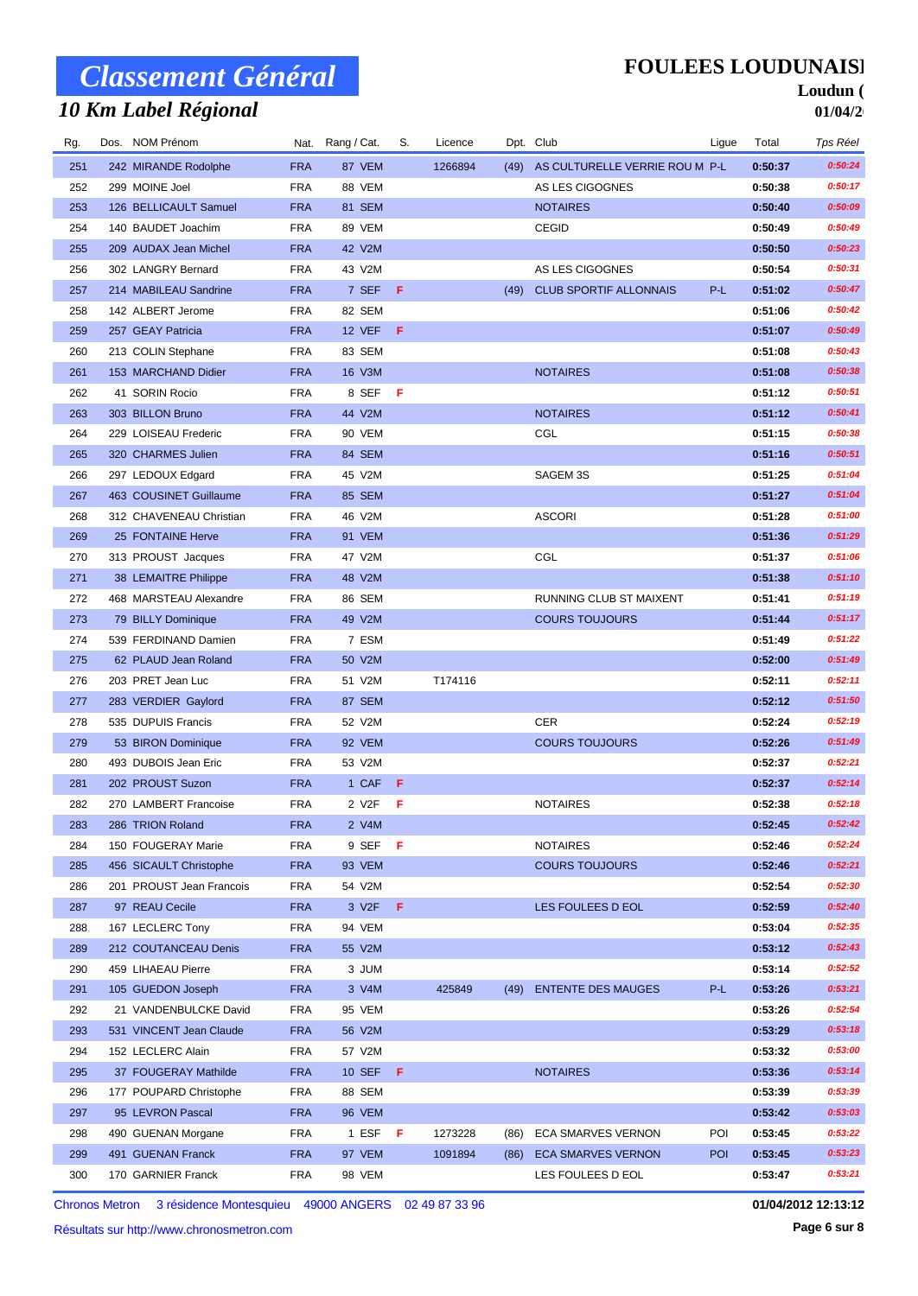## *10 Km Label Régional*

### **FOULEES LOUDUNAISE**

#### Loudun ( **01/04/2**

| Rg. | Dos. NOM Prénom          |            | Nat. Rang / Cat. | S.  | Licence |      | Dpt. Club                      | Ligue      | Total   | Tps Réel |
|-----|--------------------------|------------|------------------|-----|---------|------|--------------------------------|------------|---------|----------|
| 251 | 242 MIRANDE Rodolphe     | <b>FRA</b> | 87 VEM           |     | 1266894 | (49) | AS CULTURELLE VERRIE ROU M P-L |            | 0:50:37 | 0:50:24  |
| 252 | 299 MOINE Joel           | <b>FRA</b> | 88 VEM           |     |         |      | AS LES CIGOGNES                |            | 0:50:38 | 0:50:17  |
| 253 | 126 BELLICAULT Samuel    | <b>FRA</b> | 81 SEM           |     |         |      | <b>NOTAIRES</b>                |            | 0:50:40 | 0:50:09  |
| 254 | 140 BAUDET Joachim       | <b>FRA</b> | 89 VEM           |     |         |      | <b>CEGID</b>                   |            | 0:50:49 | 0:50:49  |
| 255 | 209 AUDAX Jean Michel    | <b>FRA</b> | 42 V2M           |     |         |      |                                |            | 0:50:50 | 0:50:23  |
| 256 | 302 LANGRY Bernard       | <b>FRA</b> | 43 V2M           |     |         |      | AS LES CIGOGNES                |            | 0:50:54 | 0:50:31  |
| 257 | 214 MABILEAU Sandrine    | <b>FRA</b> | 7 SEF            | -F  |         | (49) | <b>CLUB SPORTIF ALLONNAIS</b>  | P-L        | 0:51:02 | 0:50:47  |
| 258 | 142 ALBERT Jerome        | <b>FRA</b> | 82 SEM           |     |         |      |                                |            | 0:51:06 | 0:50:42  |
| 259 | 257 GEAY Patricia        | <b>FRA</b> | 12 VEF           | - F |         |      |                                |            | 0:51:07 | 0:50:49  |
| 260 | 213 COLIN Stephane       | <b>FRA</b> | 83 SEM           |     |         |      |                                |            | 0:51:08 | 0:50:43  |
| 261 | 153 MARCHAND Didier      | <b>FRA</b> | 16 V3M           |     |         |      | <b>NOTAIRES</b>                |            | 0:51:08 | 0:50:38  |
| 262 | 41 SORIN Rocio           | <b>FRA</b> | 8 SEF            | -F  |         |      |                                |            | 0:51:12 | 0:50:51  |
| 263 | 303 BILLON Bruno         | <b>FRA</b> | 44 V2M           |     |         |      | <b>NOTAIRES</b>                |            | 0:51:12 | 0:50:41  |
| 264 | 229 LOISEAU Frederic     | <b>FRA</b> | 90 VEM           |     |         |      | CGL                            |            | 0:51:15 | 0:50:38  |
| 265 | 320 CHARMES Julien       | <b>FRA</b> | 84 SEM           |     |         |      |                                |            | 0:51:16 | 0:50:51  |
| 266 | 297 LEDOUX Edgard        | <b>FRA</b> | 45 V2M           |     |         |      | SAGEM 3S                       |            | 0:51:25 | 0:51:04  |
| 267 | 463 COUSINET Guillaume   | <b>FRA</b> | 85 SEM           |     |         |      |                                |            | 0:51:27 | 0:51:04  |
| 268 | 312 CHAVENEAU Christian  | <b>FRA</b> | 46 V2M           |     |         |      | <b>ASCORI</b>                  |            | 0:51:28 | 0:51:00  |
| 269 | 25 FONTAINE Herve        | <b>FRA</b> | 91 VEM           |     |         |      |                                |            | 0:51:36 | 0:51:29  |
| 270 | 313 PROUST Jacques       | <b>FRA</b> | 47 V2M           |     |         |      | CGL                            |            | 0:51:37 | 0:51:06  |
| 271 | 38 LEMAITRE Philippe     | <b>FRA</b> | 48 V2M           |     |         |      |                                |            | 0:51:38 | 0:51:10  |
| 272 | 468 MARSTEAU Alexandre   | <b>FRA</b> | 86 SEM           |     |         |      | RUNNING CLUB ST MAIXENT        |            | 0:51:41 | 0:51:19  |
| 273 | 79 BILLY Dominique       | <b>FRA</b> | 49 V2M           |     |         |      | <b>COURS TOUJOURS</b>          |            | 0:51:44 | 0:51:17  |
| 274 | 539 FERDINAND Damien     | <b>FRA</b> | 7 ESM            |     |         |      |                                |            | 0:51:49 | 0:51:22  |
| 275 | 62 PLAUD Jean Roland     | <b>FRA</b> | 50 V2M           |     |         |      |                                |            | 0:52:00 | 0:51:49  |
| 276 | 203 PRET Jean Luc        | <b>FRA</b> | 51 V2M           |     | T174116 |      |                                |            | 0:52:11 | 0:52:11  |
| 277 | 283 VERDIER Gaylord      | <b>FRA</b> | 87 SEM           |     |         |      |                                |            | 0:52:12 | 0:51:50  |
| 278 | 535 DUPUIS Francis       | <b>FRA</b> | 52 V2M           |     |         |      | <b>CER</b>                     |            | 0:52:24 | 0:52:19  |
| 279 | 53 BIRON Dominique       | <b>FRA</b> | 92 VEM           |     |         |      | <b>COURS TOUJOURS</b>          |            | 0:52:26 | 0:51:49  |
| 280 | 493 DUBOIS Jean Eric     | <b>FRA</b> | 53 V2M           |     |         |      |                                |            | 0:52:37 | 0:52:21  |
| 281 | 202 PROUST Suzon         | <b>FRA</b> | 1 CAF            | -F  |         |      |                                |            | 0:52:37 | 0:52:14  |
| 282 | 270 LAMBERT Francoise    | <b>FRA</b> | 2 V2F            | -F  |         |      | <b>NOTAIRES</b>                |            | 0:52:38 | 0:52:18  |
| 283 | 286 TRION Roland         | <b>FRA</b> | 2 V4M            |     |         |      |                                |            | 0:52:45 | 0:52:42  |
| 284 | 150 FOUGERAY Marie       | <b>FRA</b> | 9 SEF            | F   |         |      | <b>NOTAIRES</b>                |            | 0:52:46 | 0:52:24  |
| 285 | 456 SICAULT Christophe   | <b>FRA</b> | 93 VEM           |     |         |      | <b>COURS TOUJOURS</b>          |            | 0:52:46 | 0:52:21  |
| 286 | 201 PROUST Jean Francois | <b>FRA</b> | 54 V2M           |     |         |      |                                |            | 0:52:54 | 0:52:30  |
| 287 | 97 REAU Cecile           | <b>FRA</b> | 3 V2F            | F   |         |      | LES FOULEES D EOL              |            | 0:52:59 | 0:52:40  |
| 288 | 167 LECLERC Tony         | <b>FRA</b> | 94 VEM           |     |         |      |                                |            | 0:53:04 | 0:52:35  |
| 289 | 212 COUTANCEAU Denis     | <b>FRA</b> | 55 V2M           |     |         |      |                                |            | 0:53:12 | 0:52:43  |
| 290 | 459 LIHAEAU Pierre       | <b>FRA</b> | 3 JUM            |     |         |      |                                |            | 0:53:14 | 0:52:52  |
| 291 | 105 GUEDON Joseph        | <b>FRA</b> | 3 V4M            |     | 425849  | (49) | <b>ENTENTE DES MAUGES</b>      | P-L        | 0:53:26 | 0:53:21  |
| 292 | 21 VANDENBULCKE David    | <b>FRA</b> | 95 VEM           |     |         |      |                                |            | 0:53:26 | 0:52:54  |
| 293 | 531 VINCENT Jean Claude  | <b>FRA</b> | 56 V2M           |     |         |      |                                |            | 0:53:29 | 0:53:18  |
| 294 | 152 LECLERC Alain        | <b>FRA</b> | 57 V2M           |     |         |      |                                |            | 0:53:32 | 0:53:00  |
| 295 | 37 FOUGERAY Mathilde     | <b>FRA</b> | 10 SEF F         |     |         |      | <b>NOTAIRES</b>                |            | 0:53:36 | 0:53:14  |
| 296 | 177 POUPARD Christophe   | <b>FRA</b> | 88 SEM           |     |         |      |                                |            | 0:53:39 | 0:53:39  |
| 297 | 95 LEVRON Pascal         | <b>FRA</b> | 96 VEM           |     |         |      |                                |            | 0:53:42 | 0:53:03  |
| 298 | 490 GUENAN Morgane       | <b>FRA</b> | $1$ ESF          | F   | 1273228 | (86) | ECA SMARVES VERNON             | POI        | 0:53:45 | 0:53:22  |
| 299 | 491 GUENAN Franck        | <b>FRA</b> | 97 VEM           |     | 1091894 | (86) | <b>ECA SMARVES VERNON</b>      | <b>POI</b> | 0:53:45 | 0:53:23  |
| 300 | 170 GARNIER Franck       | <b>FRA</b> | 98 VEM           |     |         |      | LES FOULEES D EOL              |            | 0:53:47 | 0:53:21  |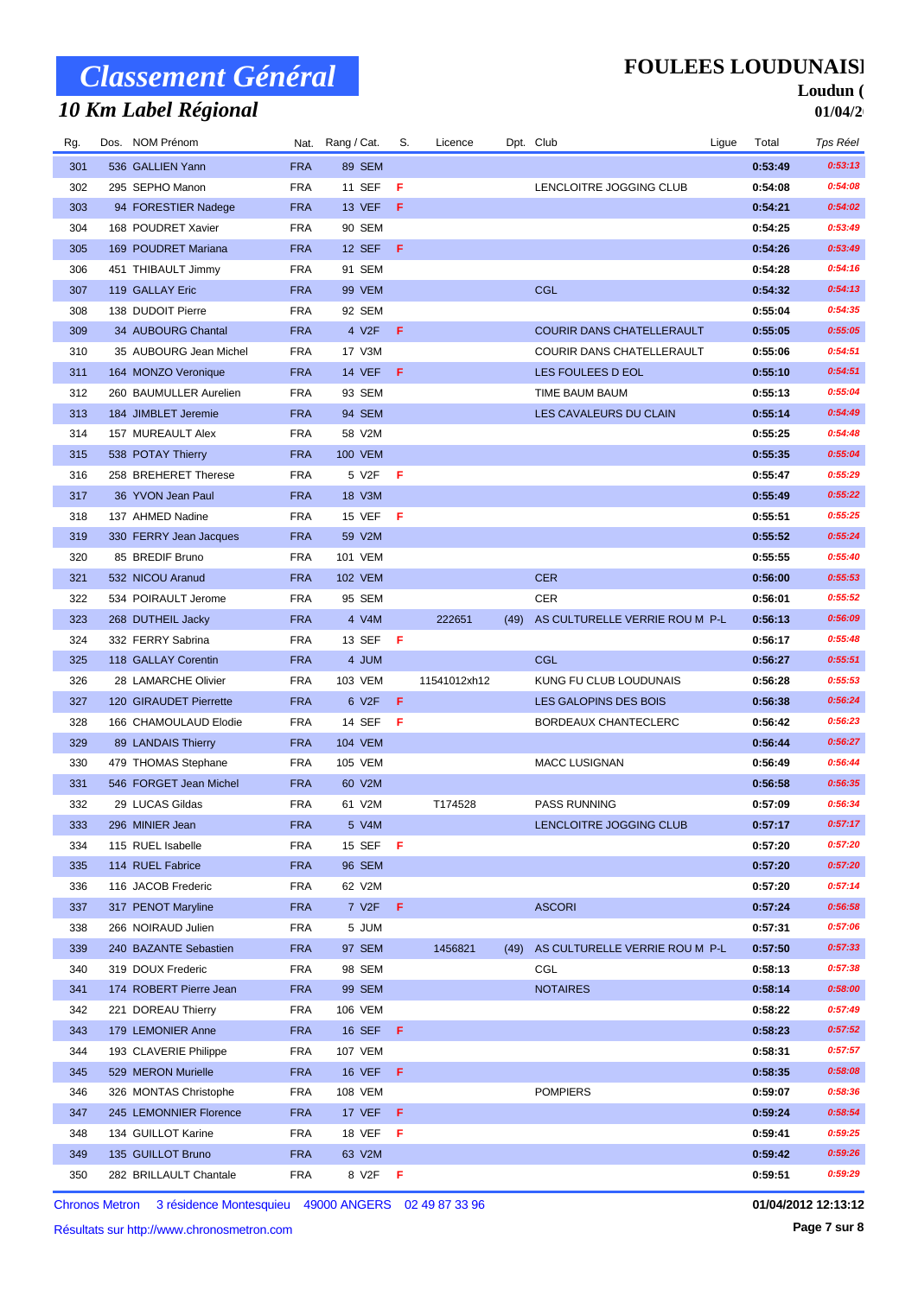## *10 Km Label Régional*

### **FOULEES LOUDUNAISE**

#### Loudun ( **01/04/2**

| Rg. | Dos. NOM Prénom        |            | Nat. Rang / Cat.   | S.  | Licence      |      | Dpt. Club                      | Ligue | Total   | Tps Réel |
|-----|------------------------|------------|--------------------|-----|--------------|------|--------------------------------|-------|---------|----------|
| 301 | 536 GALLIEN Yann       | <b>FRA</b> | 89 SEM             |     |              |      |                                |       | 0:53:49 | 0:53:13  |
| 302 | 295 SEPHO Manon        | <b>FRA</b> | 11 SEF             | F   |              |      | LENCLOITRE JOGGING CLUB        |       | 0:54:08 | 0:54:08  |
| 303 | 94 FORESTIER Nadege    | <b>FRA</b> | 13 VEF             | F   |              |      |                                |       | 0:54:21 | 0:54:02  |
| 304 | 168 POUDRET Xavier     | <b>FRA</b> | 90 SEM             |     |              |      |                                |       | 0:54:25 | 0:53:49  |
| 305 | 169 POUDRET Mariana    | <b>FRA</b> | <b>12 SEF</b>      | F   |              |      |                                |       | 0:54:26 | 0:53:49  |
| 306 | 451 THIBAULT Jimmy     | <b>FRA</b> | 91 SEM             |     |              |      |                                |       | 0:54:28 | 0:54:16  |
| 307 | 119 GALLAY Eric        | <b>FRA</b> | <b>99 VEM</b>      |     |              |      | CGL                            |       | 0:54:32 | 0:54:13  |
| 308 | 138 DUDOIT Pierre      | <b>FRA</b> | 92 SEM             |     |              |      |                                |       | 0:55:04 | 0:54:35  |
| 309 | 34 AUBOURG Chantal     | <b>FRA</b> | 4 V2F              | F   |              |      | COURIR DANS CHATELLERAULT      |       | 0:55:05 | 0:55:05  |
| 310 | 35 AUBOURG Jean Michel | <b>FRA</b> | 17 V3M             |     |              |      | COURIR DANS CHATELLERAULT      |       | 0:55:06 | 0:54:51  |
| 311 | 164 MONZO Veronique    | <b>FRA</b> | <b>14 VEF</b>      | -F  |              |      | LES FOULEES D EOL              |       | 0:55:10 | 0:54:51  |
| 312 | 260 BAUMULLER Aurelien | <b>FRA</b> | 93 SEM             |     |              |      | TIME BAUM BAUM                 |       | 0:55:13 | 0:55:04  |
| 313 | 184 JIMBLET Jeremie    | <b>FRA</b> | 94 SEM             |     |              |      | LES CAVALEURS DU CLAIN         |       | 0:55:14 | 0:54:49  |
| 314 | 157 MUREAULT Alex      | <b>FRA</b> | 58 V2M             |     |              |      |                                |       | 0:55:25 | 0:54:48  |
| 315 | 538 POTAY Thierry      | <b>FRA</b> | <b>100 VEM</b>     |     |              |      |                                |       | 0:55:35 | 0:55:04  |
| 316 | 258 BREHERET Therese   | <b>FRA</b> | 5 V2F              | F   |              |      |                                |       | 0:55:47 | 0:55:29  |
| 317 | 36 YVON Jean Paul      | <b>FRA</b> | 18 V3M             |     |              |      |                                |       | 0:55:49 | 0:55:22  |
| 318 | 137 AHMED Nadine       | <b>FRA</b> | 15 VEF             | F   |              |      |                                |       | 0:55:51 | 0:55:25  |
| 319 | 330 FERRY Jean Jacques | <b>FRA</b> | 59 V2M             |     |              |      |                                |       | 0:55:52 | 0:55:24  |
| 320 | 85 BREDIF Bruno        | <b>FRA</b> | 101 VEM            |     |              |      |                                |       | 0:55:55 | 0:55:40  |
| 321 | 532 NICOU Aranud       | <b>FRA</b> | <b>102 VEM</b>     |     |              |      | <b>CER</b>                     |       | 0:56:00 | 0:55:53  |
| 322 | 534 POIRAULT Jerome    | <b>FRA</b> | 95 SEM             |     |              |      | <b>CER</b>                     |       | 0:56:01 | 0:55:52  |
| 323 | 268 DUTHEIL Jacky      | <b>FRA</b> | 4 V4M              |     | 222651       | (49) | AS CULTURELLE VERRIE ROU M P-L |       | 0:56:13 | 0:56:09  |
| 324 | 332 FERRY Sabrina      | <b>FRA</b> | 13 SEF             | - F |              |      |                                |       | 0:56:17 | 0:55:48  |
| 325 | 118 GALLAY Corentin    | <b>FRA</b> | 4 JUM              |     |              |      | CGL                            |       | 0:56:27 | 0:55:51  |
| 326 | 28 LAMARCHE Olivier    | <b>FRA</b> | 103 VEM            |     | 11541012xh12 |      | KUNG FU CLUB LOUDUNAIS         |       | 0:56:28 | 0:55:53  |
| 327 | 120 GIRAUDET Pierrette | <b>FRA</b> | 6 V2F              | F   |              |      | LES GALOPINS DES BOIS          |       | 0:56:38 | 0:56:24  |
| 328 | 166 CHAMOULAUD Elodie  | <b>FRA</b> | 14 SEF             | -F  |              |      | BORDEAUX CHANTECLERC           |       | 0:56:42 | 0:56:23  |
| 329 | 89 LANDAIS Thierry     | <b>FRA</b> | <b>104 VEM</b>     |     |              |      |                                |       | 0:56:44 | 0:56:27  |
| 330 | 479 THOMAS Stephane    | <b>FRA</b> | 105 VEM            |     |              |      | MACC LUSIGNAN                  |       | 0:56:49 | 0:56:44  |
| 331 | 546 FORGET Jean Michel | <b>FRA</b> | 60 V2M             |     |              |      |                                |       | 0:56:58 | 0:56:35  |
| 332 | 29 LUCAS Gildas        | <b>FRA</b> | 61 V2M             |     | T174528      |      | <b>PASS RUNNING</b>            |       | 0:57:09 | 0:56:34  |
| 333 | 296 MINIER Jean        | <b>FRA</b> | 5 V4M              |     |              |      | LENCLOITRE JOGGING CLUB        |       | 0:57:17 | 0:57:17  |
| 334 | 115 RUEL Isabelle      | <b>FRA</b> | 15 SEF             | F   |              |      |                                |       | 0:57:20 | 0:57:20  |
| 335 | 114 RUEL Fabrice       | <b>FRA</b> | 96 SEM             |     |              |      |                                |       | 0:57:20 | 0:57:20  |
| 336 | 116 JACOB Frederic     | FRA        | 62 V2M             |     |              |      |                                |       | 0:57:20 | 0:57:14  |
| 337 | 317 PENOT Maryline     | <b>FRA</b> | 7 V <sub>2</sub> F | F   |              |      | <b>ASCORI</b>                  |       | 0:57:24 | 0:56:58  |
| 338 | 266 NOIRAUD Julien     | FRA        | 5 JUM              |     |              |      |                                |       | 0:57:31 | 0:57:06  |
| 339 | 240 BAZANTE Sebastien  | <b>FRA</b> | 97 SEM             |     | 1456821      | (49) | AS CULTURELLE VERRIE ROU M P-L |       | 0:57:50 | 0:57:33  |
| 340 | 319 DOUX Frederic      | <b>FRA</b> | 98 SEM             |     |              |      | CGL                            |       | 0:58:13 | 0:57:38  |
| 341 | 174 ROBERT Pierre Jean | <b>FRA</b> | 99 SEM             |     |              |      | <b>NOTAIRES</b>                |       | 0:58:14 | 0:58:00  |
| 342 | 221 DOREAU Thierry     | <b>FRA</b> | 106 VEM            |     |              |      |                                |       | 0:58:22 | 0:57:49  |
| 343 | 179 LEMONIER Anne      | <b>FRA</b> | 16 SEF             | -F. |              |      |                                |       | 0:58:23 | 0:57:52  |
| 344 | 193 CLAVERIE Philippe  | <b>FRA</b> | 107 VEM            |     |              |      |                                |       | 0:58:31 | 0:57:57  |
| 345 | 529 MERON Murielle     | <b>FRA</b> | <b>16 VEF</b>      | - F |              |      |                                |       | 0:58:35 | 0:58:08  |
| 346 | 326 MONTAS Christophe  | <b>FRA</b> | 108 VEM            |     |              |      | <b>POMPIERS</b>                |       | 0:59:07 | 0:58:36  |
| 347 | 245 LEMONNIER Florence | <b>FRA</b> | 17 VEF             | - F |              |      |                                |       | 0:59:24 | 0:58:54  |
| 348 | 134 GUILLOT Karine     | <b>FRA</b> | 18 VEF             | F   |              |      |                                |       | 0:59:41 | 0:59:25  |
| 349 | 135 GUILLOT Bruno      | <b>FRA</b> | 63 V2M             |     |              |      |                                |       | 0:59:42 | 0:59:26  |
| 350 | 282 BRILLAULT Chantale | <b>FRA</b> | 8 V2F              | - F |              |      |                                |       | 0:59:51 | 0:59:29  |